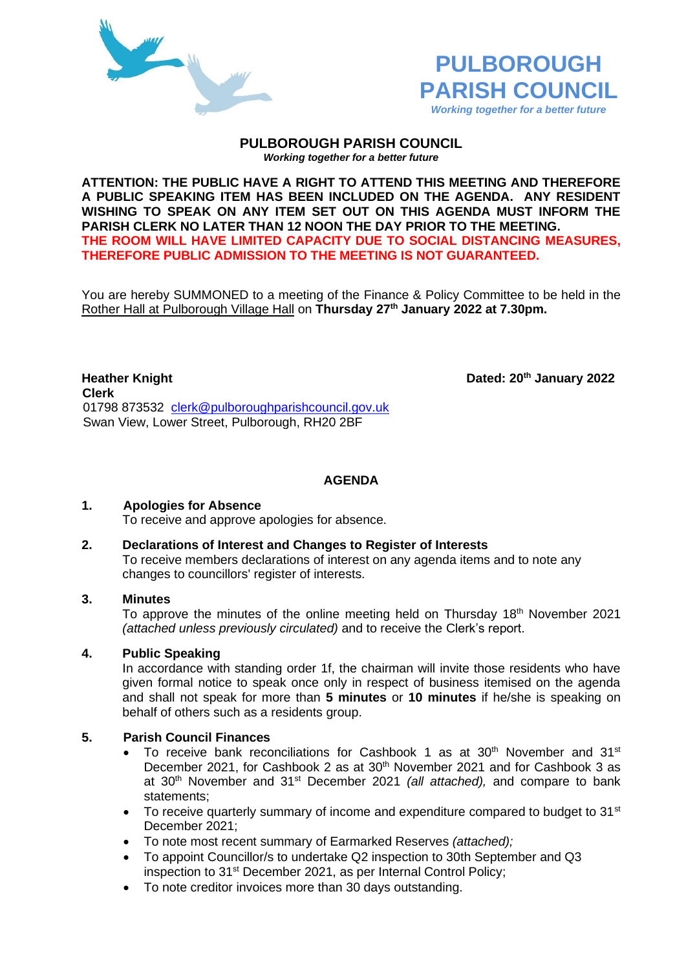



#### **PULBOROUGH PARISH COUNCIL** *Working together for a better future*

**ATTENTION: THE PUBLIC HAVE A RIGHT TO ATTEND THIS MEETING AND THEREFORE A PUBLIC SPEAKING ITEM HAS BEEN INCLUDED ON THE AGENDA. ANY RESIDENT WISHING TO SPEAK ON ANY ITEM SET OUT ON THIS AGENDA MUST INFORM THE PARISH CLERK NO LATER THAN 12 NOON THE DAY PRIOR TO THE MEETING. THE ROOM WILL HAVE LIMITED CAPACITY DUE TO SOCIAL DISTANCING MEASURES, THEREFORE PUBLIC ADMISSION TO THE MEETING IS NOT GUARANTEED.**

You are hereby SUMMONED to a meeting of the Finance & Policy Committee to be held in the Rother Hall at Pulborough Village Hall on **Thursday 27th January 2022 at 7.30pm.** 

**Heather Knight Dated: 20th January 2022 Clerk** 01798 873532 [clerk@pulboroughparishcouncil.gov.uk](mailto:clerk@pulboroughparishcouncil.gov.uk) Swan View, Lower Street, Pulborough, RH20 2BF

**AGENDA**

# **1. Apologies for Absence**

To receive and approve apologies for absence.

#### **2. Declarations of Interest and Changes to Register of Interests**

To receive members declarations of interest on any agenda items and to note any changes to councillors' register of interests.

## **3. Minutes**

To approve the minutes of the online meeting held on Thursday 18<sup>th</sup> November 2021 *(attached unless previously circulated)* and to receive the Clerk's report.

# **4. Public Speaking**

In accordance with standing order 1f, the chairman will invite those residents who have given formal notice to speak once only in respect of business itemised on the agenda and shall not speak for more than **5 minutes** or **10 minutes** if he/she is speaking on behalf of others such as a residents group.

# **5. Parish Council Finances**

- To receive bank reconciliations for Cashbook 1 as at  $30<sup>th</sup>$  November and  $31<sup>st</sup>$ December 2021, for Cashbook 2 as at 30<sup>th</sup> November 2021 and for Cashbook 3 as at 30th November and 31st December 2021 *(all attached),* and compare to bank statements;
- To receive quarterly summary of income and expenditure compared to budget to 31<sup>st</sup> December 2021;
- To note most recent summary of Earmarked Reserves *(attached);*
- To appoint Councillor/s to undertake Q2 inspection to 30th September and Q3 inspection to 31st December 2021, as per Internal Control Policy;
- To note creditor invoices more than 30 days outstanding.